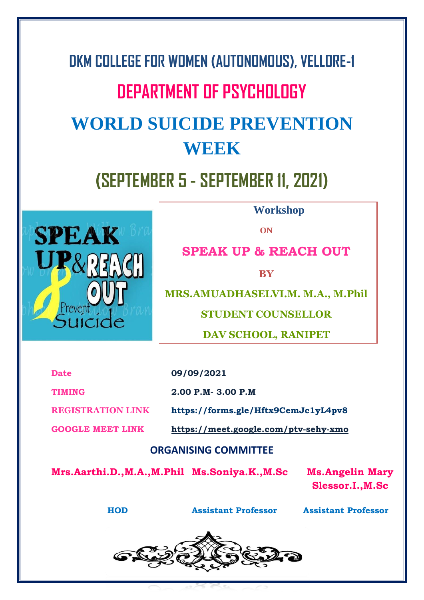# **DKM COLLEGE FOR WOMEN (AUTONOMOUS), VELLORE-1 DEPARTMENT OF PSYCHOLOGY WORLD SUICIDE PREVENTION WEEK (SEPTEMBER 5 - SEPTEMBER 11, 2021)**



**Workshop**

**ON**

**SPEAK UP & REACH OUT**

**BY**

**MRS.AMUADHASELVI.M. M.A., M.Phil**

**STUDENT COUNSELLOR**

**DAV SCHOOL, RANIPET**

**Date 09/09/2021** 

**TIMING**

**2.00 P.M- 3.00 P.M** 

**REGISTRATION LINK**

**GOOGLE MEET LINK <https://meet.google.com/ptv-sehy-xmo>**

**<https://forms.gle/Hftx9CemJc1yL4pv8>**

# **ORGANISING COMMITTEE**

**Mrs.Aarthi.D.,M.A.,M.Phil Ms.Soniya.K.,M.Sc Ms.Angelin Mary** 

**Slessor.I.,M.Sc**

**HOD Assistant Professor Assistant Professor**

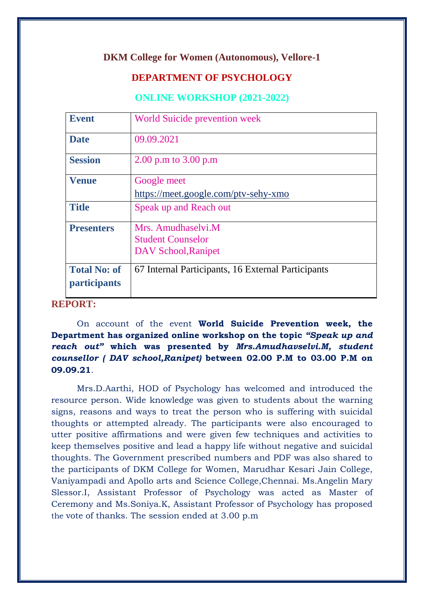#### **DKM College for Women (Autonomous), Vellore-1**

## **DEPARTMENT OF PSYCHOLOGY**

#### **ONLINE WORKSHOP (2021-2022)**

| <b>Event</b>        | <b>World Suicide prevention week</b>               |
|---------------------|----------------------------------------------------|
| <b>Date</b>         | 09.09.2021                                         |
| <b>Session</b>      | 2.00 p.m to $3.00$ p.m                             |
| <b>Venue</b>        | Google meet                                        |
|                     | https://meet.google.com/ptv-sehy-xmo               |
| <b>Title</b>        | Speak up and Reach out                             |
| <b>Presenters</b>   | Mrs. Amudhaselvi.M                                 |
|                     | <b>Student Counselor</b>                           |
|                     | DAV School, Ranipet                                |
| <b>Total No: of</b> | 67 Internal Participants, 16 External Participants |
| <i>participants</i> |                                                    |

## **REPORT:**

On account of the event **World Suicide Prevention week, the Department has organized online workshop on the topic** *"Speak up and reach out"* **which was presented by** *Mrs.Amudhavselvi.M, student counsellor ( DAV school,Ranipet)* **between 02.00 P.M to 03.00 P.M on 09.09.21**.

Mrs.D.Aarthi, HOD of Psychology has welcomed and introduced the resource person. Wide knowledge was given to students about the warning signs, reasons and ways to treat the person who is suffering with suicidal thoughts or attempted already. The participants were also encouraged to utter positive affirmations and were given few techniques and activities to keep themselves positive and lead a happy life without negative and suicidal thoughts. The Government prescribed numbers and PDF was also shared to the participants of DKM College for Women, Marudhar Kesari Jain College, Vaniyampadi and Apollo arts and Science College,Chennai. Ms.Angelin Mary Slessor.I, Assistant Professor of Psychology was acted as Master of Ceremony and Ms.Soniya.K, Assistant Professor of Psychology has proposed the vote of thanks. The session ended at 3.00 p.m